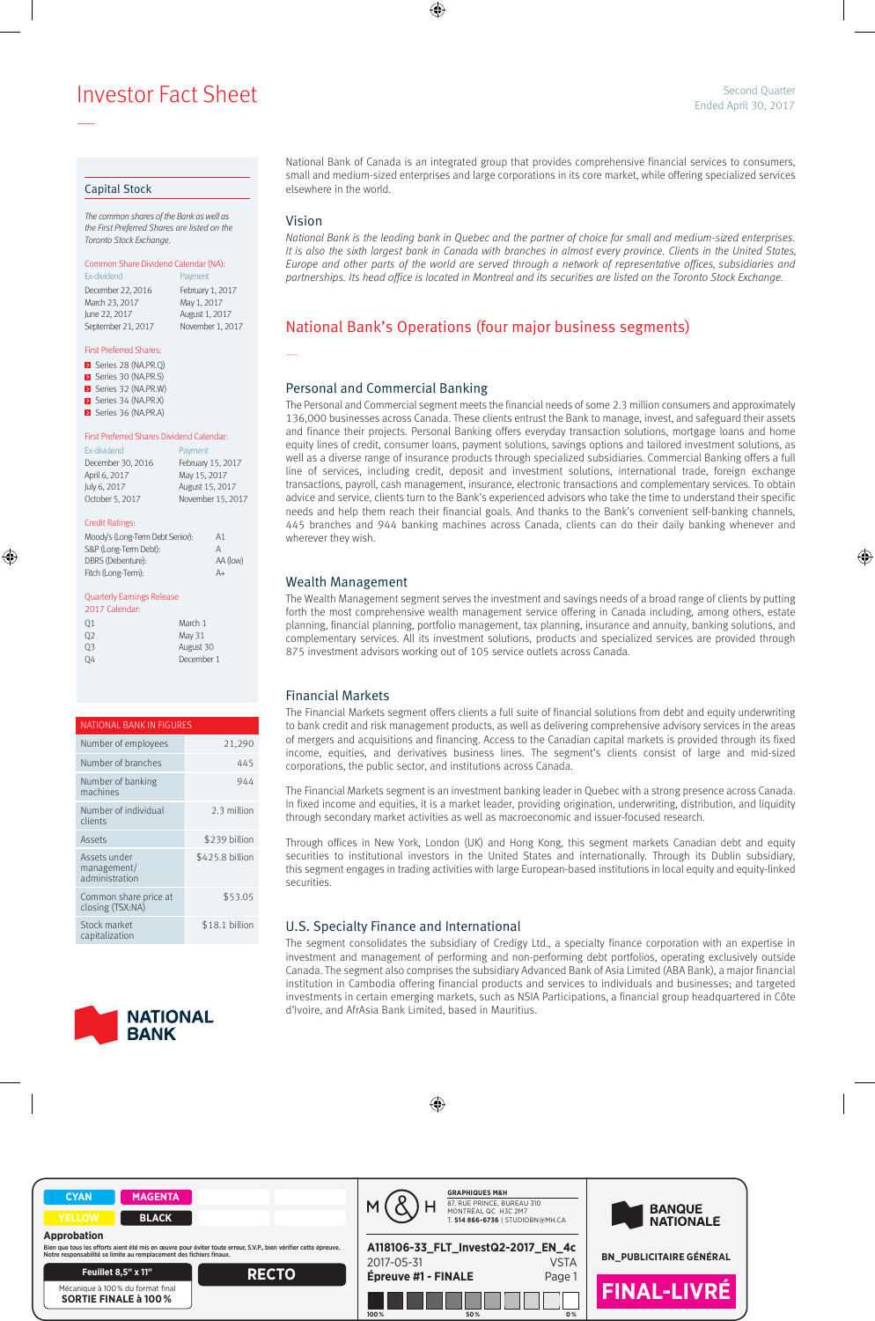**Example 2017** Second Quarter Sheet Sheet Sheet Sheet Sheet Sheet Sheet Sheet Sheet Sheet Sheet Sheet Sheet Sheet Sheet Sheet Sheet Sheet Sheet Sheet Sheet Sheet Sheet Sheet Sheet Sheet Sheet Sheet Sheet Sheet Sheet Sheet

#### Capital Stock

—

The common shares of the Bank as well as the First Preferred Shares are listed on the Toronto Stock Exchange.

### Common Share Dividend Calendar (NA):

Ex-dividend **Payment** December 22, 2016 February 1, 2017 March 23, 2017 May 1, 2017 June 22, 2017 August 1, 2017 September 21, 2017 November 1, 2017

#### First Preferred Shares:

- Series 28 (NA.PR.Q) Series 30 (NA.PR.S) **E** Series 32 (NA.PR.W)
- Series 34 (NA.PR.X)
- Series 36 (NA.PR.A)

#### First Preferred Shares Dividend Calendar:

| <b>Fx-dividend</b> | Payment           |
|--------------------|-------------------|
| December 30, 2016  | February 15, 2017 |
| April 6, 2017      | May 15, 2017      |
| July 6, 2017       | August 15, 2017   |
| October 5, 2017    | November 15, 2017 |

#### Credit Ratings:

| Moody's (Long-Term Debt Senior): | A1       |
|----------------------------------|----------|
| S&P (Long-Term Debt):            | А        |
| DBRS (Debenture):                | AA (low) |
| Fitch (Long-Term):               | $A+$     |
|                                  |          |

#### Quarterly Earnings Release

| 2017 Calendar: |            |
|----------------|------------|
| 01             | March 1    |
| O <sub>2</sub> | May 31     |
| OЗ             | August 30  |
|                | December 1 |

| NATIONAL BANK IN FIGURES                      |                 |  |  |  |
|-----------------------------------------------|-----------------|--|--|--|
| Number of employees                           | 21,290          |  |  |  |
| Number of branches                            | 445             |  |  |  |
| Number of banking<br>machines                 | 944             |  |  |  |
| Number of individual<br>clients               | 2.3 million     |  |  |  |
| Assets                                        | \$239 billion   |  |  |  |
| Assets under<br>management/<br>administration | \$425.8 billion |  |  |  |
| Common share price at<br>closing (TSX:NA)     | \$53.05         |  |  |  |
| Stock market<br>capitalization                | \$18.1 billion  |  |  |  |



#### National Bank of Canada is an integrated group that provides comprehensive financial services to consumers, small and medium-sized enterprises and large corporations in its core market, while offering specialized services elsewhere in the world.

### Vision

—

National Bank is the leading bank in Quebec and the partner of choice for small and medium-sized enterprises. It is also the sixth largest bank in Canada with branches in almost every province. Clients in the United States, Europe and other parts of the world are served through a network of representative offices, subsidiaries and partnerships. Its head office is located in Montreal and its securities are listed on the Toronto Stock Exchange.

# National Bank's Operations (four major business segments)

### Personal and Commercial Banking

The Personal and Commercial segment meets the financial needs of some 2.3 million consumers and approximately 136,000 businesses across Canada. These clients entrust the Bank to manage, invest, and safeguard their assets and finance their projects. Personal Banking offers everyday transaction solutions, mortgage loans and home equity lines of credit, consumer loans, payment solutions, savings options and tailored investment solutions, as well as a diverse range of insurance products through specialized subsidiaries. Commercial Banking offers a full line of services, including credit, deposit and investment solutions, international trade, foreign exchange transactions, payroll, cash management, insurance, electronic transactions and complementary services. To obtain advice and service, clients turn to the Bank's experienced advisors who take the time to understand their specific needs and help them reach their financial goals. And thanks to the Bank's convenient self-banking channels, 445 branches and 944 banking machines across Canada, clients can do their daily banking whenever and wherever they wish.

### Wealth Management

The Wealth Management segment serves the investment and savings needs of a broad range of clients by putting forth the most comprehensive wealth management service offering in Canada including, among others, estate planning, financial planning, portfolio management, tax planning, insurance and annuity, banking solutions, and complementary services. All its investment solutions, products and specialized services are provided through 875 investment advisors working out of 105 service outlets across Canada.

## Financial Markets

The Financial Markets segment offers clients a full suite of financial solutions from debt and equity underwriting to bank credit and risk management products, as well as delivering comprehensive advisory services in the areas of mergers and acquisitions and financing. Access to the Canadian capital markets is provided through its fixed income, equities, and derivatives business lines. The segment's clients consist of large and mid-sized corporations, the public sector, and institutions across Canada.

The Financial Markets segment is an investment banking leader in Quebec with a strong presence across Canada. In fixed income and equities, it is a market leader, providing origination, underwriting, distribution, and liquidity through secondary market activities as well as macroeconomic and issuer-focused research.

Through offices in New York, London (UK) and Hong Kong, this segment markets Canadian debt and equity securities to institutional investors in the United States and internationally. Through its Dublin subsidiary, this segment engages in trading activities with large European-based institutions in local equity and equity-linked securities.

### U.S. Specialty Finance and International

The segment consolidates the subsidiary of Credigy Ltd., a specialty finance corporation with an expertise in investment and management of performing and non-performing debt portfolios, operating exclusively outside Canada. The segment also comprises the subsidiary Advanced Bank of Asia Limited (ABA Bank), a major financial institution in Cambodia offering financial products and services to individuals and businesses; and targeted investments in certain emerging markets, such as NSIA Participations, a financial group headquartered in Côte d'Ivoire, and AfrAsia Bank Limited, based in Mauritius.